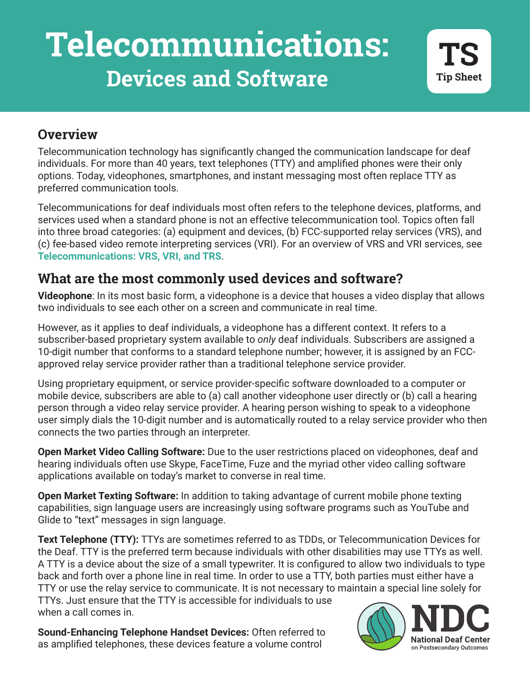# **Telecommunications: Devices and Software**

#### **Overview**

Telecommunication technology has significantly changed the communication landscape for deaf individuals. For more than 40 years, text telephones (TTY) and amplified phones were their only options. Today, videophones, smartphones, and instant messaging most often replace TTY as preferred communication tools.

Telecommunications for deaf individuals most often refers to the telephone devices, platforms, and services used when a standard phone is not an effective telecommunication tool. Topics often fall into three broad categories: (a) equipment and devices, (b) FCC-supported relay services (VRS), and (c) fee-based video remote interpreting services (VRI). For an overview of VRS and VRI services, see **[Telecommunications: VRS, VRI, and TRS](https://www.nationaldeafcenter.org/get-resources/current-resources/telecommunications-and-individuals-who-are-deaf-vrs-vri-and-trs)**.

## **What are the most commonly used devices and software?**

**Videophone**: In its most basic form, a videophone is a device that houses a video display that allows two individuals to see each other on a screen and communicate in real time.

However, as it applies to deaf individuals, a videophone has a different context. It refers to a subscriber-based proprietary system available to *only* deaf individuals. Subscribers are assigned a 10-digit number that conforms to a standard telephone number; however, it is assigned by an FCCapproved relay service provider rather than a traditional telephone service provider.

Using proprietary equipment, or service provider-specific software downloaded to a computer or mobile device, subscribers are able to (a) call another videophone user directly or (b) call a hearing person through a video relay service provider. A hearing person wishing to speak to a videophone user simply dials the 10-digit number and is automatically routed to a relay service provider who then connects the two parties through an interpreter.

**Open Market Video Calling Software:** Due to the user restrictions placed on videophones, deaf and hearing individuals often use Skype, FaceTime, Fuze and the myriad other video calling software applications available on today's market to converse in real time.

**Open Market Texting Software:** In addition to taking advantage of current mobile phone texting capabilities, sign language users are increasingly using software programs such as YouTube and Glide to "text" messages in sign language.

**Text Telephone (TTY):** TTYs are sometimes referred to as TDDs, or Telecommunication Devices for the Deaf. TTY is the preferred term because individuals with other disabilities may use TTYs as well. A TTY is a device about the size of a small typewriter. It is configured to allow two individuals to type back and forth over a phone line in real time. In order to use a TTY, both parties must either have a TTY or use the relay service to communicate. It is not necessary to maintain a special line solely for

**NOCES CONCRETE:**<br>
When a call comes in.<br>
Sound-Enhancing Telephone Handset Devices: Often referred to TTYs. Just ensure that the TTY is accessible for individuals to use when a call comes in.

as amplified telephones, these devices feature a volume control